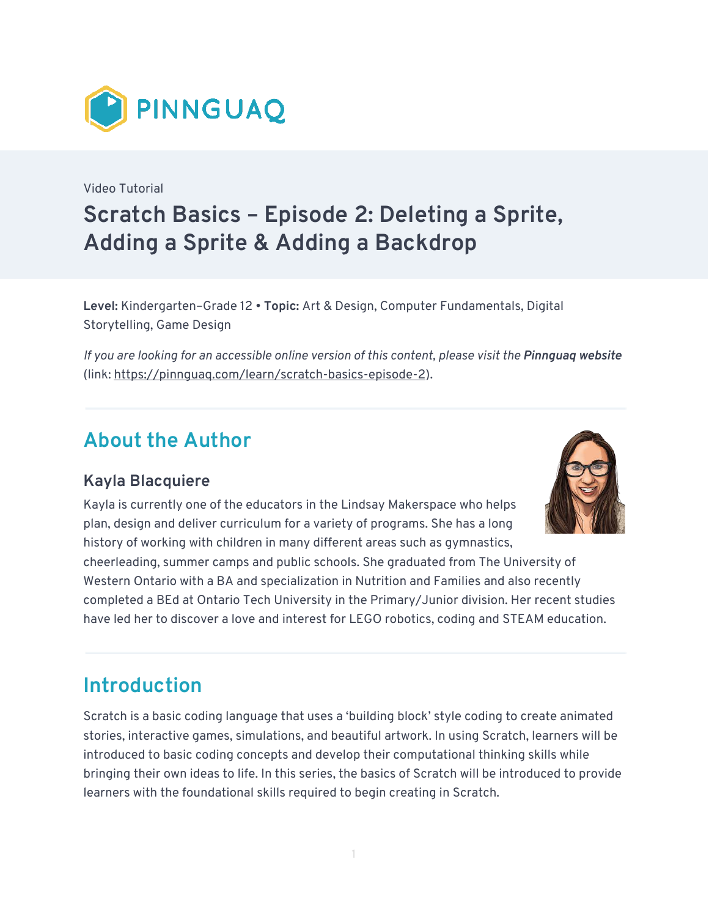

Video Tutorial **Scratch Basics – Episode 2: Deleting a Sprite, Adding a Sprite & Adding a Backdrop** 

**Level:** Kindergarten–Grade 12 • **Topic:** Art & Design, Computer Fundamentals, Digital Storytelling, Game Design

*If you are looking for an accessible online version of this content, please visit the Pinnguaq website* (link: [https://pinnguaq.com/learn/scratch-basics-episode-2\)](https://pinnguaq.com/learn/scratch-basics-episode-2).

### **About the Author**

#### **Kayla Blacquiere**

Kayla is currently one of the educators in the Lindsay Makerspace who helps plan, design and deliver curriculum for a variety of programs. She has a long history of working with children in many different areas such as gymnastics,

cheerleading, summer camps and public schools. She graduated from The University of Western Ontario with a BA and specialization in Nutrition and Families and also recently completed a BEd at Ontario Tech University in the Primary/Junior division. Her recent studies have led her to discover a love and interest for LEGO robotics, coding and STEAM education.

# **Introduction**

Scratch is a basic coding language that uses a 'building block' style coding to create animated stories, interactive games, simulations, and beautiful artwork. In using Scratch, learners will be introduced to basic coding concepts and develop their computational thinking skills while bringing their own ideas to life. In this series, the basics of Scratch will be introduced to provide learners with the foundational skills required to begin creating in Scratch.

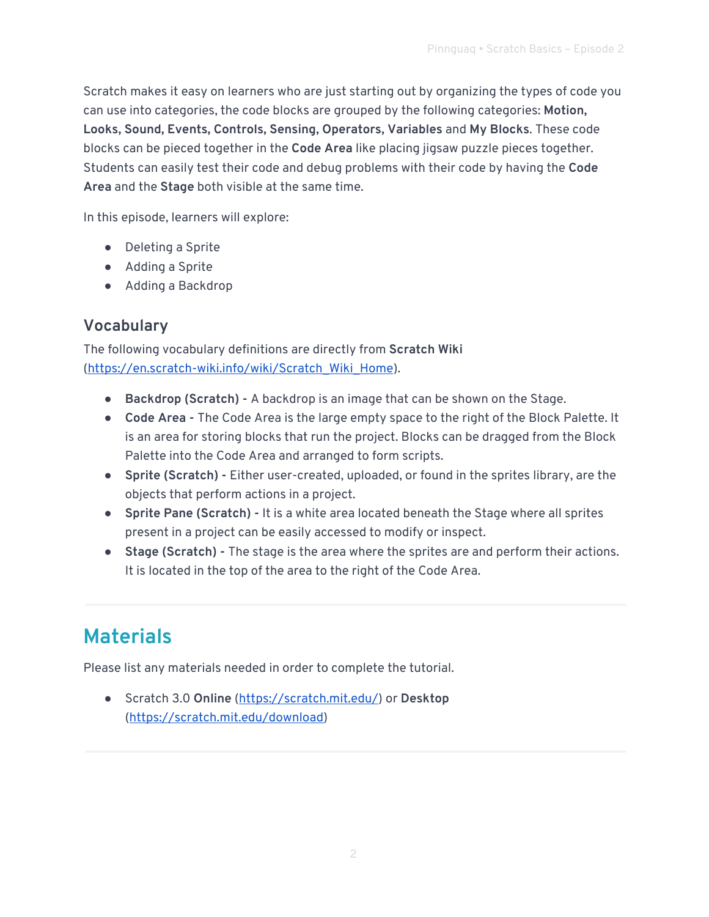Scratch makes it easy on learners who are just starting out by organizing the types of code you can use into categories, the code blocks are grouped by the following categories: **Motion, Looks, Sound, Events, Controls, Sensing, Operators, Variables** and **My Blocks**. These code blocks can be pieced together in the **Code Area** like placing jigsaw puzzle pieces together. Students can easily test their code and debug problems with their code by having the **Code Area** and the **Stage** both visible at the same time.

In this episode, learners will explore:

- Deleting a Sprite
- Adding a Sprite
- Adding a Backdrop

#### **Vocabulary**

The following vocabulary definitions are directly from **Scratch Wiki**  ([https://en.scratch-wiki.info/wiki/Scratch\\_Wiki\\_Home\)](https://en.scratch-wiki.info/wiki/Scratch_Wiki_Home).

- **Backdrop (Scratch) -** A backdrop is an image that can be shown on the Stage.
- **Code Area** The Code Area is the large empty space to the right of the Block Palette. It is an area for storing blocks that run the project. Blocks can be dragged from the Block Palette into the Code Area and arranged to form scripts.
- **Sprite (Scratch) -** Either user-created, uploaded, or found in the sprites library, are the objects that perform actions in a project.
- **Sprite Pane (Scratch) -** It is a white area located beneath the Stage where all sprites present in a project can be easily accessed to modify or inspect.
- **Stage (Scratch) -** The stage is the area where the sprites are and perform their actions. It is located in the top of the area to the right of the Code Area.

# **Materials**

Please list any materials needed in order to complete the tutorial.

● Scratch 3.0 **Online** [\(https://scratch.mit.edu/\)](https://scratch.mit.edu/) or **Desktop** ([https://scratch.mit.edu/download\)](https://scratch.mit.edu/download)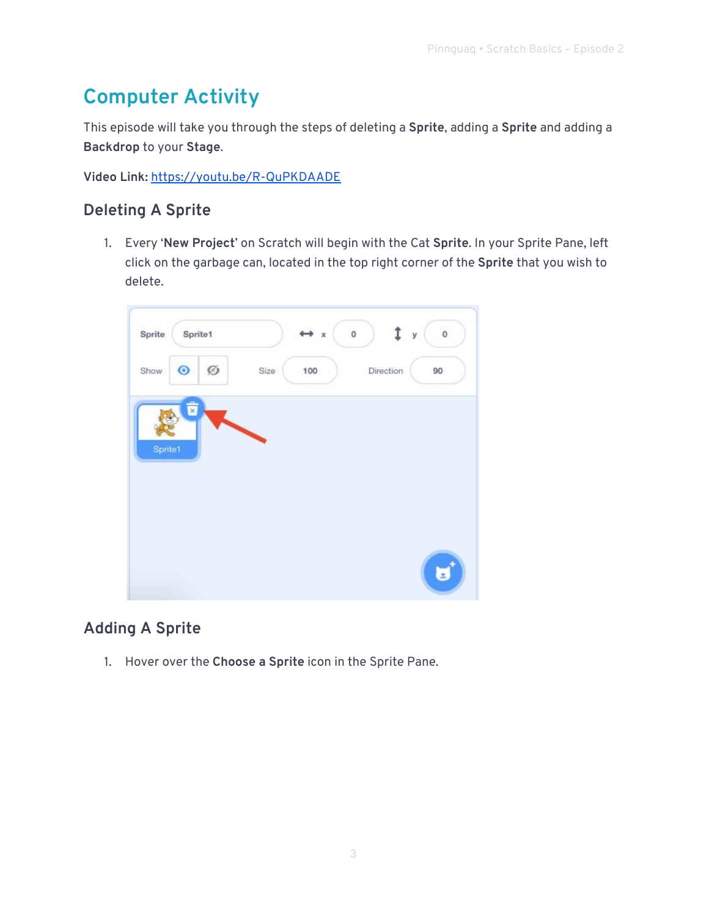# **Computer Activity**

This episode will take you through the steps of deleting a **Sprite**, adding a **Sprite** and adding a **Backdrop** to your **Stage**.

**Video Link:** <https://youtu.be/R-QuPKDAADE>

### **Deleting A Sprite**

1. Every '**New Project**' on Scratch will begin with the Cat **Sprite**. In your Sprite Pane, left click on the garbage can, located in the top right corner of the **Sprite** that you wish to delete.



### **Adding A Sprite**

1. Hover over the **Choose a Sprite** icon in the Sprite Pane.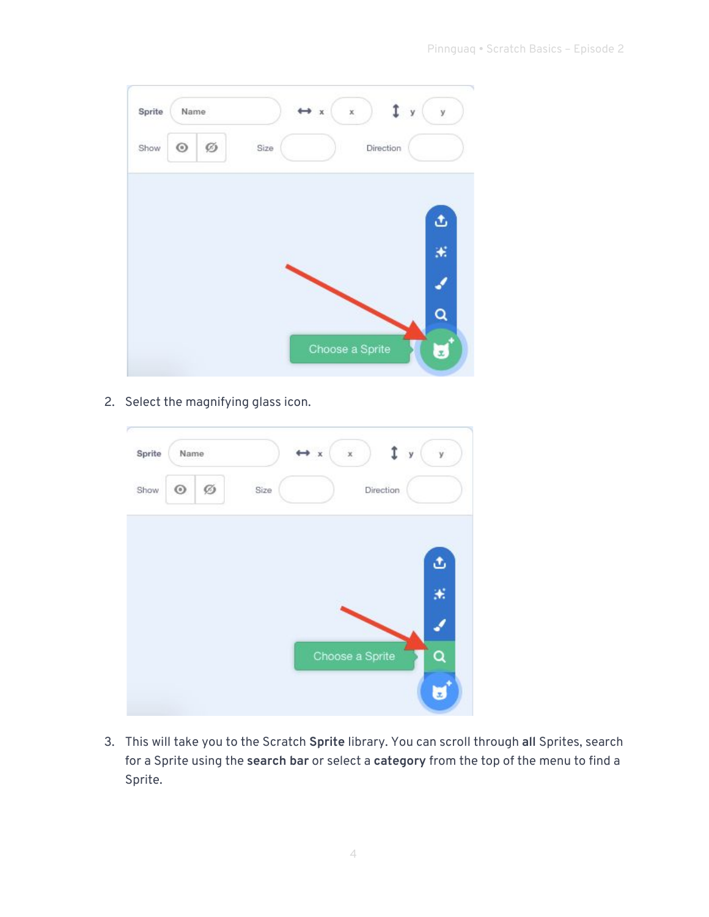| Sprite | Name       |   |      | $*$ | ×               | y | y  |
|--------|------------|---|------|-----|-----------------|---|----|
| Show   | $_{\odot}$ | Ø | Size |     | Direction       |   |    |
|        |            |   |      |     |                 |   | گ  |
|        |            |   |      |     |                 |   | ×. |
|        |            |   |      |     |                 |   |    |
|        |            |   |      |     |                 |   |    |
|        |            |   |      |     | Choose a Sprite |   |    |

2. Select the magnifying glass icon.

| Sprite | Name       |   |      | $\bullet x$ | $\mathbf x$     | $\mathbf{y}$ | ÿ  |
|--------|------------|---|------|-------------|-----------------|--------------|----|
| Show   | $_{\odot}$ | Ø | Size |             |                 | Direction    |    |
|        |            |   |      |             |                 |              | đ  |
|        |            |   |      |             |                 |              | X, |
|        |            |   |      |             |                 |              |    |
|        |            |   |      |             | Choose a Sprite |              |    |
|        |            |   |      |             |                 |              | Ξ  |

3. This will take you to the Scratch **Sprite** library. You can scroll through **all** Sprites, search for a Sprite using the **search bar** or select a **category** from the top of the menu to find a Sprite.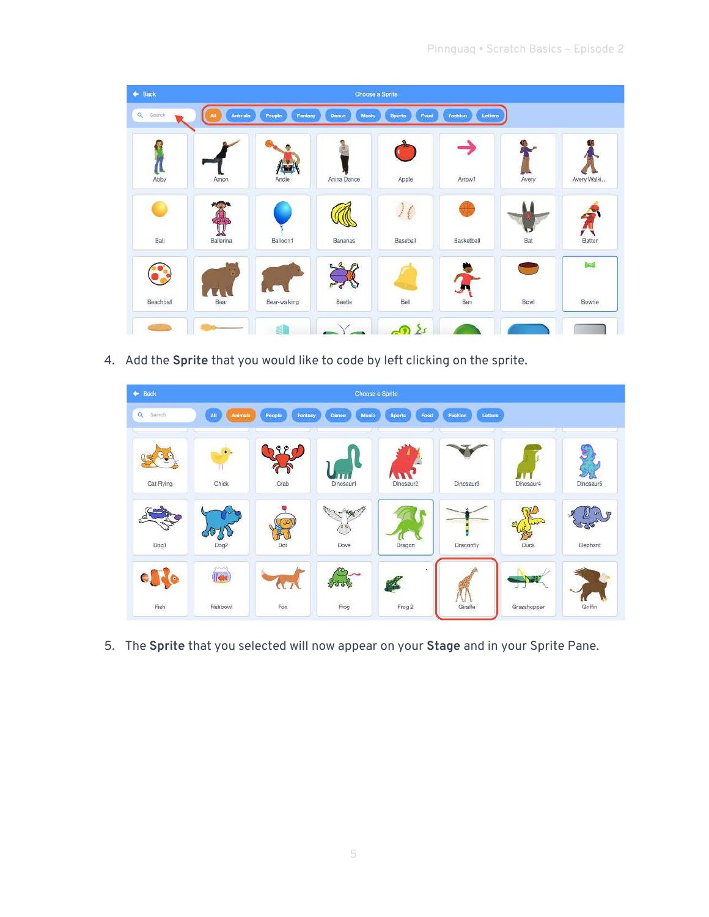| $\leftarrow$ Back  |           |                   |                | Choose a Sprite       |                    |                |              |
|--------------------|-----------|-------------------|----------------|-----------------------|--------------------|----------------|--------------|
| $\alpha$<br>Search | Animals   | People<br>Fantasy | Music<br>Dance | Food<br><b>Sports</b> | Fashion<br>Lettera |                |              |
|                    |           |                   |                |                       |                    |                |              |
| Abby               | Amon      | Andie             | Anina Dance    | Apple                 | Arrow1             | Avery          | Avery Walki  |
|                    |           |                   |                |                       |                    |                |              |
| Ball               | Ballerina | Balloon1          | Bananas        | Baseball              | Basketball         | Bat            | Batter       |
|                    |           |                   |                |                       |                    | <b>College</b> | <b>Brail</b> |
| Beachball          | Bear      | Bear-walking      | <b>Beetle</b>  | Bell                  | Ben                | Bowl           | Bowtie       |
|                    |           |                   |                | $\Omega$              |                    |                |              |

4. Add the **Sprite** that you would like to code by left clicking on the sprite.



5. The **Sprite** that you selected will now appear on your **Stage** and in your Sprite Pane.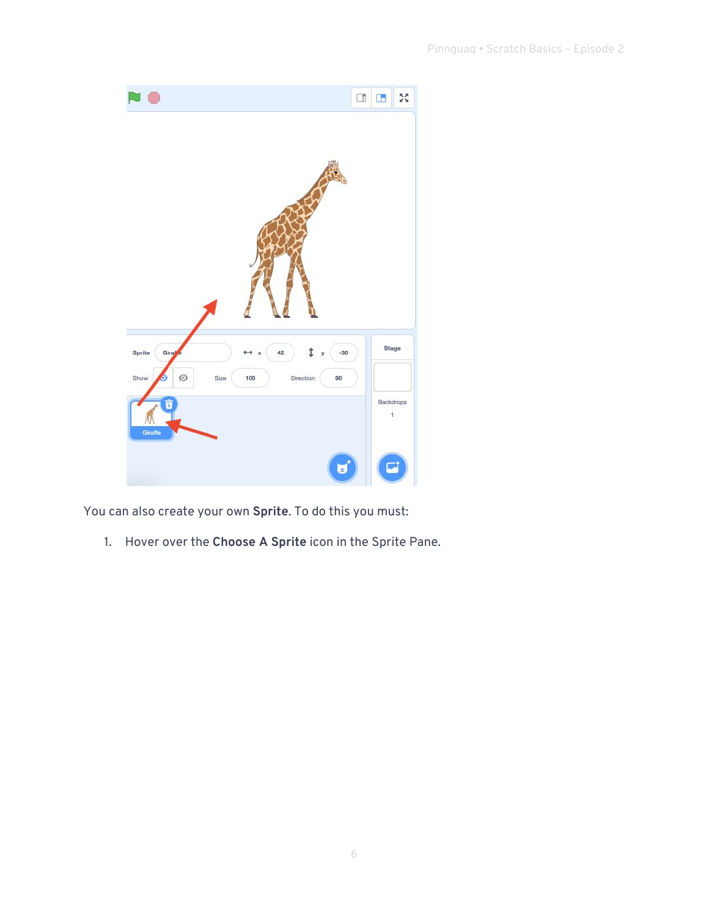

You can also create your own **Sprite**. To do this you must:

1. Hover over the **Choose A Sprite** icon in the Sprite Pane.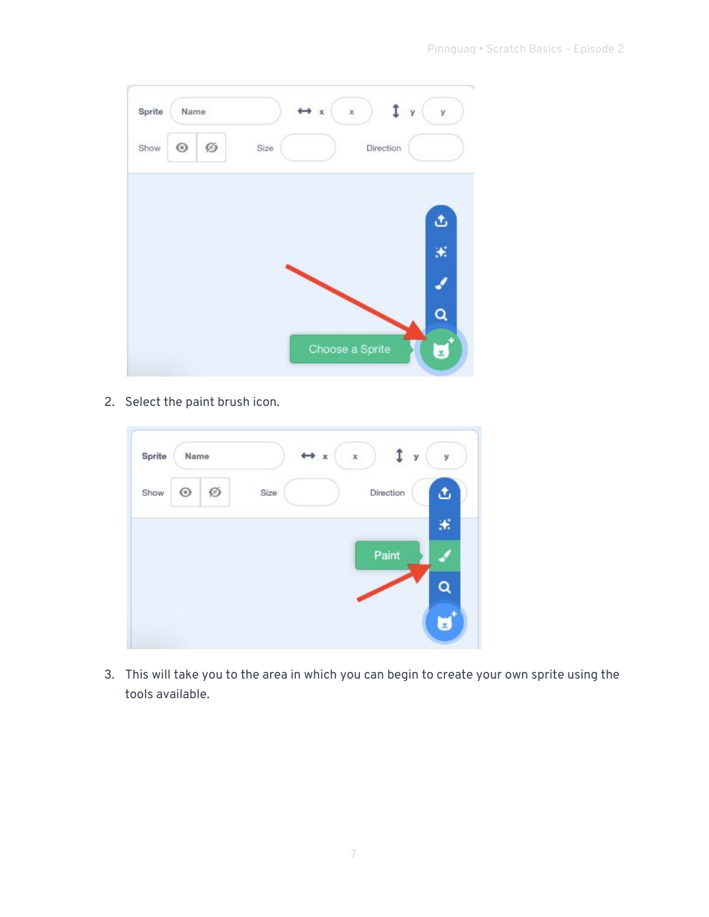| Ø<br>$_{\odot}$<br>Direction<br>Size<br>ئ<br>× | Sprite | Name |  | ×<br>$*$        | y | y |
|------------------------------------------------|--------|------|--|-----------------|---|---|
|                                                | Show   |      |  |                 |   |   |
|                                                |        |      |  |                 |   |   |
|                                                |        |      |  |                 |   |   |
|                                                |        |      |  |                 |   |   |
|                                                |        |      |  | Choose a Sprite |   |   |

2. Select the paint brush icon.

| Sprite | Name       |   |      | $\leftrightarrow x$ | $\mathbb X$ | У         | y  |
|--------|------------|---|------|---------------------|-------------|-----------|----|
| Show   | $_{\odot}$ | Ø | Size |                     |             | Direction |    |
|        |            |   |      |                     |             | Paint     | ₩. |
|        |            |   |      |                     |             |           |    |
|        |            |   |      |                     |             |           |    |

3. This will take you to the area in which you can begin to create your own sprite using the tools available.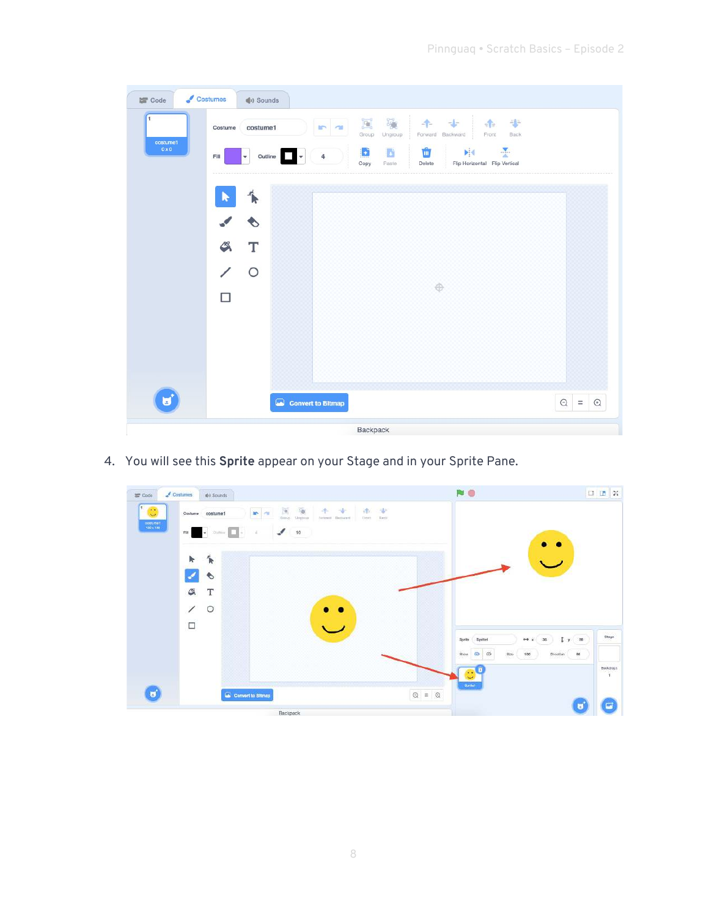| 1<br>costume1<br>$0 \times 0$ | costume1<br>Costume<br>٠<br>Fill           | <b>IP 48</b><br>$\overline{4}$<br>÷<br>Outline | $\Xi$<br>剛<br>Group<br>Ungroup<br>B<br>D<br>Copy<br>Paste | 教<br>$-1$<br>手<br>$\frac{1}{2}$<br>Forward Backward<br>Front<br>Back<br>$\frac{1}{2}$<br>Ŵ<br><b>NK</b><br>Flip Horizontal Flip Vertical<br>Delete |                                 |
|-------------------------------|--------------------------------------------|------------------------------------------------|-----------------------------------------------------------|----------------------------------------------------------------------------------------------------------------------------------------------------|---------------------------------|
|                               | ข<br>$\clubsuit$<br>т<br>$\circ$<br>$\Box$ |                                                |                                                           | ⊕                                                                                                                                                  |                                 |
| υ                             |                                            | Convert to Bitmap                              |                                                           |                                                                                                                                                    | $\circledcirc$ = $\circledcirc$ |

4. You will see this **Sprite** appear on your Stage and in your Sprite Pane.

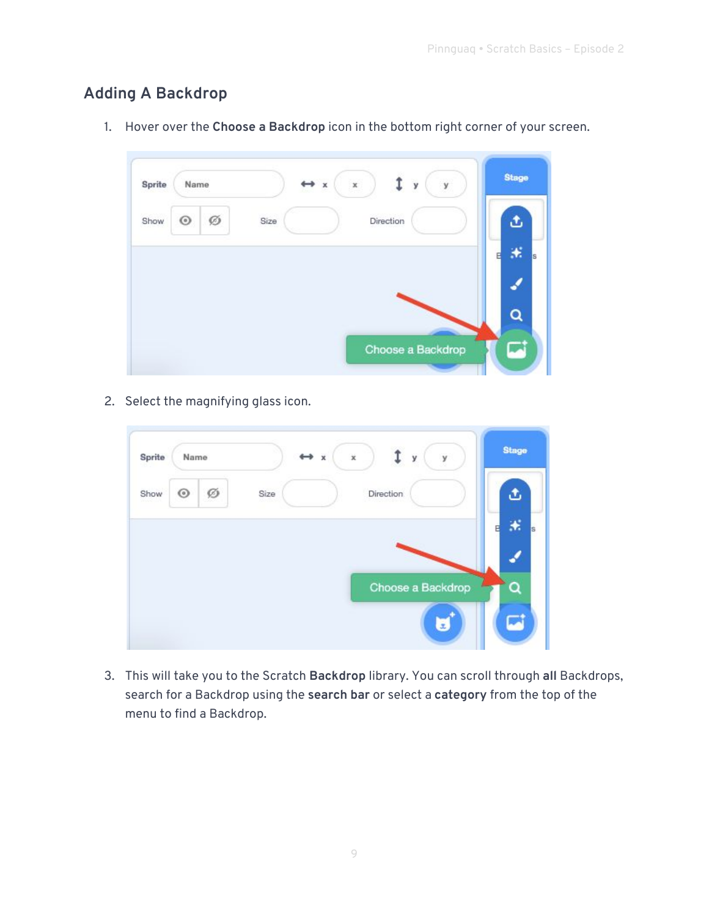### **Adding A Backdrop**

| Sprite | Name       |   |      | $\,x\,$<br>$\leftrightarrow x$ | y                 | y | <b>Stage</b> |
|--------|------------|---|------|--------------------------------|-------------------|---|--------------|
| Show   | $_{\odot}$ | Ø | Size |                                | Direction         |   | ه            |
|        |            |   |      |                                |                   |   | ×.<br>s      |
|        |            |   |      |                                |                   |   |              |
|        |            |   |      |                                |                   |   | Ō            |
|        |            |   |      |                                | Choose a Backdrop |   |              |

1. Hover over the **Choose a Backdrop** icon in the bottom right corner of your screen.

2. Select the magnifying glass icon.

| Sprite       | Name    |   |      | $\leftrightarrow x$ | $\mathbb X$ |           | У | y                 | <b>Stage</b> |   |
|--------------|---------|---|------|---------------------|-------------|-----------|---|-------------------|--------------|---|
| Show<br>- 11 | $\odot$ | Ø | Size |                     |             | Direction |   |                   | J.           |   |
|              |         |   |      |                     |             |           |   |                   | ж,           | s |
|              |         |   |      |                     |             |           |   | Choose a Backdrop |              |   |
|              |         |   |      |                     |             |           |   | $\mathbf{x}$      |              |   |

3. This will take you to the Scratch **Backdrop** library. You can scroll through **all** Backdrops, search for a Backdrop using the **search bar** or select a **category** from the top of the menu to find a Backdrop.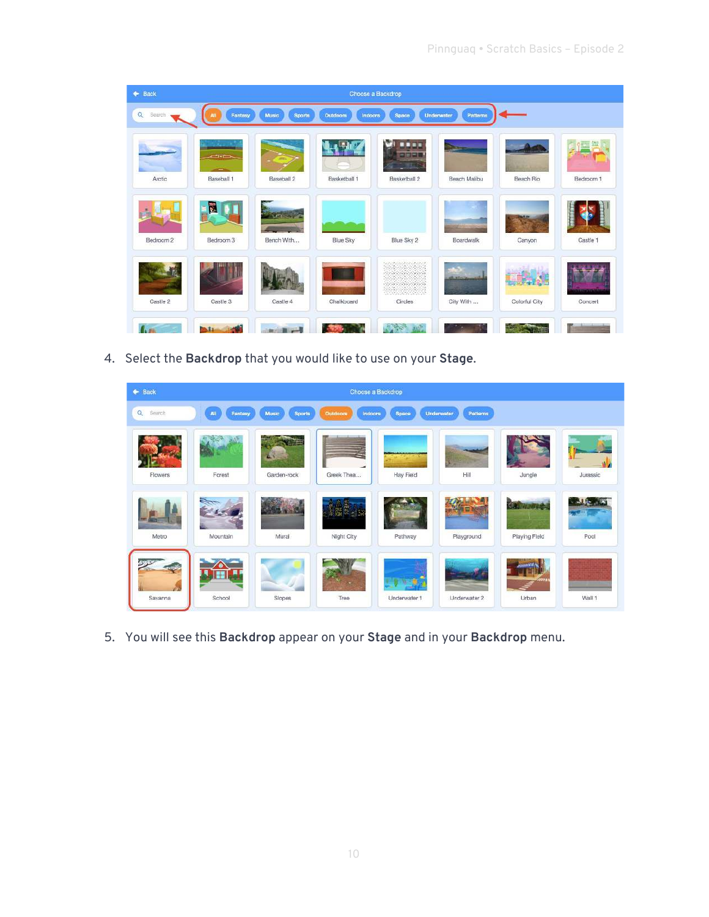| $\leftarrow$ Back  |               |                        |                     | Choose a Backdrop                                                                   |                        |                       |           |
|--------------------|---------------|------------------------|---------------------|-------------------------------------------------------------------------------------|------------------------|-----------------------|-----------|
| $\alpha$<br>Search | Fantasy<br>AU | Music<br><b>Sports</b> | Outdoors<br>Indoors | Space                                                                               | Underwater<br>Patterns |                       |           |
|                    | $7 - 1$       |                        |                     | w<br>3335<br>0000                                                                   | <b>Charles</b>         |                       |           |
| Arctic             | Baseball 1    | Baseball 2             | Basketball 1        | Basketball 2                                                                        | Beach Malibu           | Beach Rio             | Bedroom 1 |
|                    | E             |                        |                     |                                                                                     |                        |                       |           |
| Bedroom 2          | Bedroom 3     | Bench With             | <b>Blue Sky</b>     | Blue Sky 2                                                                          | Boardwalk              | Canyon                | Castle 1  |
|                    |               |                        |                     | NG WA<br><b>Contract Charles Contract Contract</b><br>49444499                      | ъS<br><b>Australia</b> | <b>Lating Company</b> |           |
| Castle 2           | Castle 3      | Castle 4               | Chalkboard          | Circles                                                                             | City With              | Colorful City         | Concert   |
|                    |               |                        |                     | $\mathcal{Q}_{\mathcal{S}}$ , $\mathcal{P}_{\mathcal{S}}$<br>$x_1$ $\overline{x_2}$ |                        |                       |           |

4. Select the **Backdrop** that you would like to use on your **Stage**.

| $\leftarrow$ Back  |                              |                               |                     | Choose a Backdrop |                        |                                  |          |
|--------------------|------------------------------|-------------------------------|---------------------|-------------------|------------------------|----------------------------------|----------|
| $\alpha$<br>Search | <b>All</b><br><b>Fantasy</b> | <b>Music</b><br><b>Sports</b> | Indoors<br>Outdoors | Space             | Patterns<br>Underwater |                                  |          |
| Flowers            | Forest                       | 74<br>Garden-rock             | Greek Thea          | Hay Field         | Hill                   | Jungle                           | Jurassic |
| Metro              | Mountain                     | Mural                         | 哪辈<br>Night City    | Pathway           | Playground             | <b>CAUTIONS</b><br>Playing Field | Pool     |
| Savanna            | School                       | Slopes                        | Tree                | Underwater 1      | Underwater 2           | Urban                            | Wall 1   |

5. You will see this **Backdrop** appear on your **Stage** and in your **Backdrop** menu.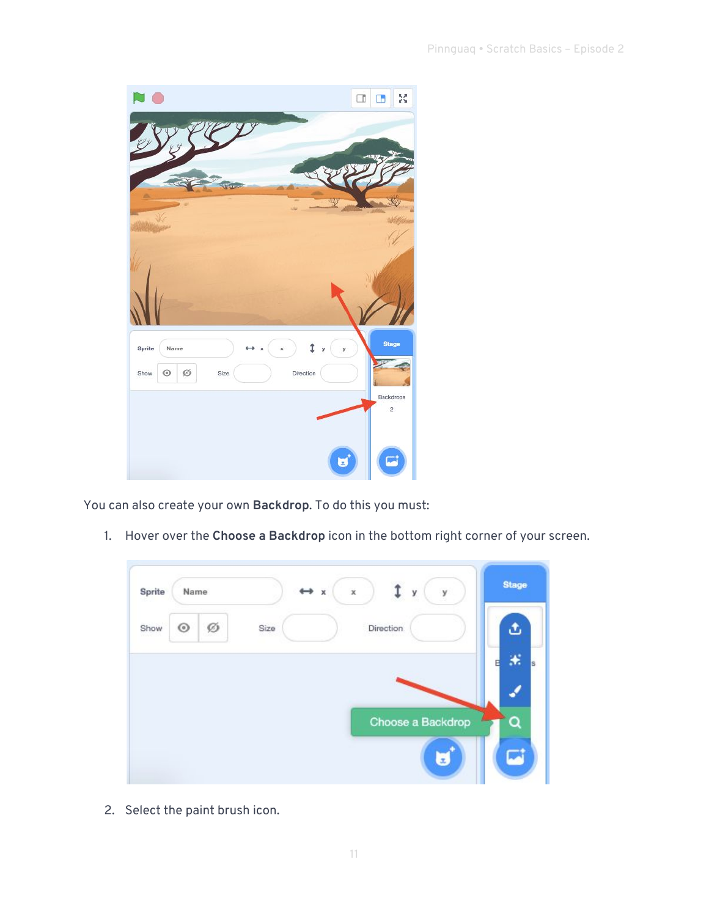

You can also create your own **Backdrop**. To do this you must:

1. Hover over the **Choose a Backdrop** icon in the bottom right corner of your screen.



2. Select the paint brush icon.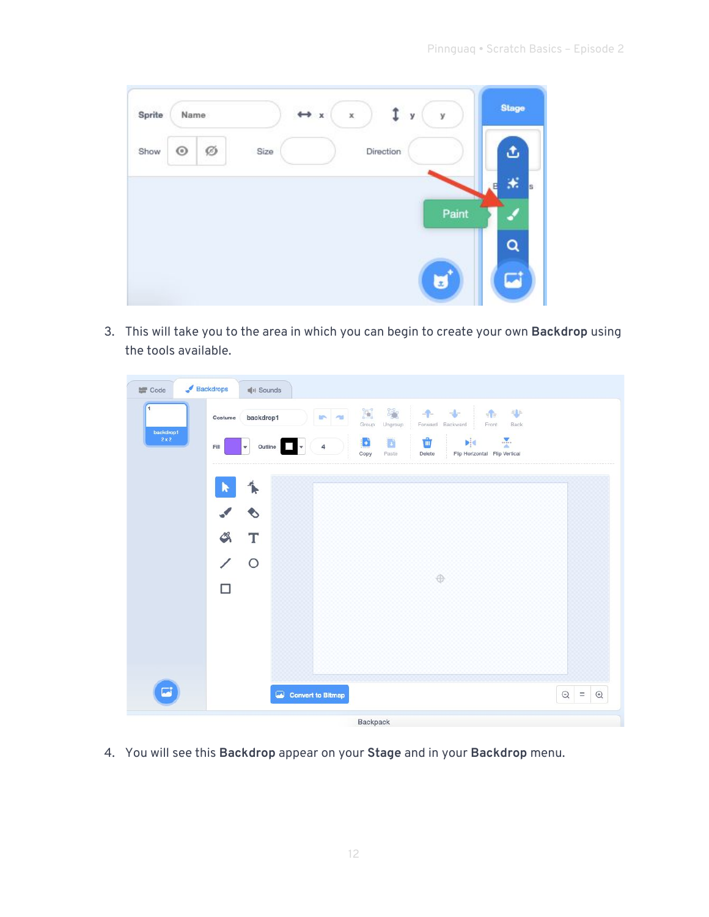| Sprite | Name       |   |      | <b>CONTROL</b><br>$\leftrightarrow$ x | X, | у         | у                | <b>Stage</b> |          |
|--------|------------|---|------|---------------------------------------|----|-----------|------------------|--------------|----------|
| Show   | $_{\odot}$ | Ø | Size |                                       |    | Direction |                  | ٩            |          |
|        |            |   |      |                                       |    |           |                  | 米            | <b>s</b> |
|        |            |   |      |                                       |    |           | Paint            |              |          |
|        |            |   |      |                                       |    |           |                  | $\alpha$     |          |
|        |            |   |      |                                       |    |           | $\boldsymbol{x}$ |              |          |

3. This will take you to the area in which you can begin to create your own **Backdrop** using the tools available.

| <b>SE</b> Code<br>п<br>backdrop1<br>$2 \times 2$ | Backdrops<br><b>鳴り Sounds</b><br>backdrop1<br>Costume<br>٠<br>Fill | $\Xi$<br>$\mathbb{F}_2$<br>$-1$<br>$-4-$<br><b>In</b><br>$\sim$<br>Group<br>Ungroup<br>Forward Backward<br>Ŵ<br>Ð<br>ö<br>4<br>Outline<br>۰<br>Copy<br>Paste<br>Delete | ÷<br>$\frac{1}{\pi}\int_{\mathbb{T}^d}$<br>Front<br>Back<br>$\frac{1}{2}$<br>ΝЧ<br>Flip Horizontal Flip Vertical |
|--------------------------------------------------|--------------------------------------------------------------------|------------------------------------------------------------------------------------------------------------------------------------------------------------------------|------------------------------------------------------------------------------------------------------------------|
|                                                  | $\uparrow$<br>R<br>$\bullet$<br>G<br>T<br>$\circ$<br>∕<br>П        | 0                                                                                                                                                                      |                                                                                                                  |
| $\blacksquare$                                   |                                                                    | Convert to Bitmap<br>Backpack                                                                                                                                          | $\odot$<br>$=$ $\odot$                                                                                           |

4. You will see this **Backdrop** appear on your **Stage** and in your **Backdrop** menu.